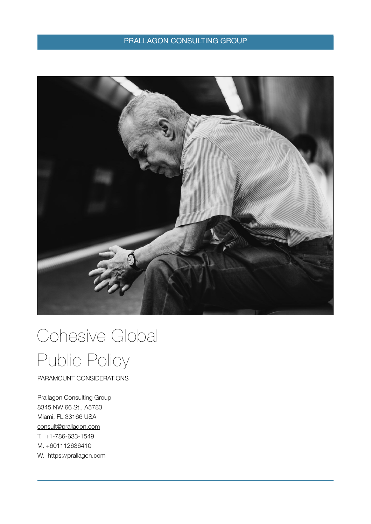### PRALLAGON CONSULTING GROUP



# Cohesive Global Public Policy

PARAMOUNT CONSIDERATIONS

Prallagon Consulting Group 8345 NW 66 St., A5783 Miami, FL 33166 USA [consult@prallagon.com](mailto:consult@prallagon.com) T. +1-786-633-1549 M. +601112636410 W. https://prallagon.com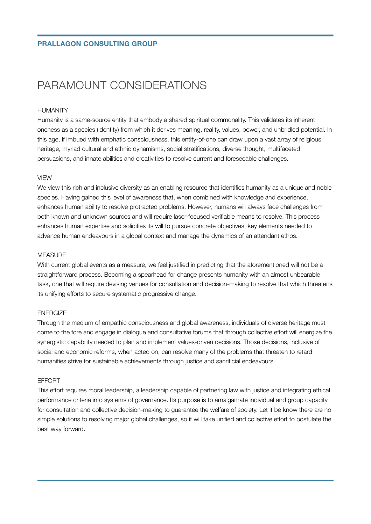## PARAMOUNT CONSIDERATIONS

#### HUMANITY

Humanity is a same-source entity that embody a shared spiritual commonality. This validates its inherent oneness as a species (identity) from which it derives meaning, reality, values, power, and unbridled potential. In this age, if imbued with emphatic consciousness, this entity-of-one can draw upon a vast array of religious heritage, myriad cultural and ethnic dynamisms, social stratifications, diverse thought, multifaceted persuasions, and innate abilities and creativities to resolve current and foreseeable challenges.

#### VIEW

We view this rich and inclusive diversity as an enabling resource that identifies humanity as a unique and noble species. Having gained this level of awareness that, when combined with knowledge and experience, enhances human ability to resolve protracted problems. However, humans will always face challenges from both known and unknown sources and will require laser-focused verifiable means to resolve. This process enhances human expertise and solidifies its will to pursue concrete objectives, key elements needed to advance human endeavours in a global context and manage the dynamics of an attendant ethos.

#### MEASURE

With current global events as a measure, we feel justified in predicting that the aforementioned will not be a straightforward process. Becoming a spearhead for change presents humanity with an almost unbearable task, one that will require devising venues for consultation and decision-making to resolve that which threatens its unifying efforts to secure systematic progressive change.

#### ENERGIZE

Through the medium of empathic consciousness and global awareness, individuals of diverse heritage must come to the fore and engage in dialogue and consultative forums that through collective effort will energize the synergistic capability needed to plan and implement values-driven decisions. Those decisions, inclusive of social and economic reforms, when acted on, can resolve many of the problems that threaten to retard humanities strive for sustainable achievements through justice and sacrificial endeavours.

#### EFFORT

This effort requires moral leadership, a leadership capable of partnering law with justice and integrating ethical performance criteria into systems of governance. Its purpose is to amalgamate individual and group capacity for consultation and collective decision-making to guarantee the welfare of society. Let it be know there are no simple solutions to resolving major global challenges, so it will take unified and collective effort to postulate the best way forward.